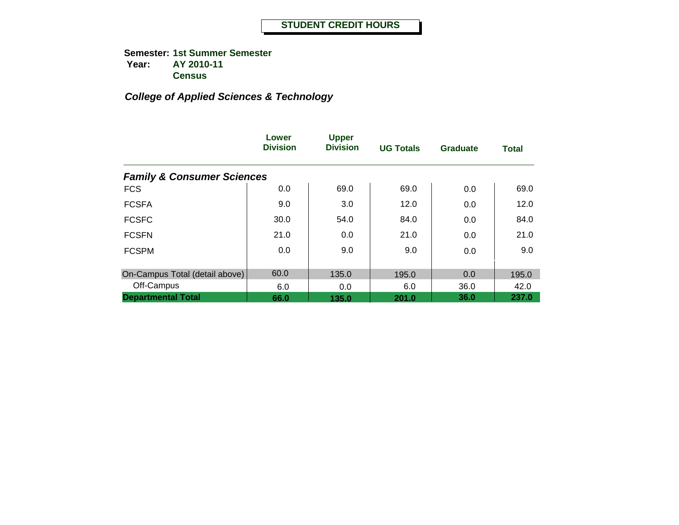**Semester: 1st Summer Semester Year: AY 2010-11 Census**

|                                       | Lower<br><b>Division</b> | <b>Upper</b><br><b>Division</b> | <b>UG Totals</b> | <b>Graduate</b> | <b>Total</b> |
|---------------------------------------|--------------------------|---------------------------------|------------------|-----------------|--------------|
| <b>Family &amp; Consumer Sciences</b> |                          |                                 |                  |                 |              |
| <b>FCS</b>                            | 0.0                      | 69.0                            | 69.0             | 0.0             | 69.0         |
| <b>FCSFA</b>                          | 9.0                      | 3.0                             | 12.0             | 0.0             | 12.0         |
| <b>FCSFC</b>                          | 30.0                     | 54.0                            | 84.0             | 0.0             | 84.0         |
| <b>FCSFN</b>                          | 21.0                     | 0.0                             | 21.0             | 0.0             | 21.0         |
| <b>FCSPM</b>                          | 0.0                      | 9.0                             | 9.0              | 0.0             | 9.0          |
| On-Campus Total (detail above)        | 60.0                     | 135.0                           | 195.0            | 0.0             | 195.0        |
| Off-Campus                            | 6.0                      | 0.0                             | 6.0              | 36.0            | 42.0         |
| <b>Departmental Total</b>             | 66.0                     | 135.0                           | 201.0            | 36.0            | 237.0        |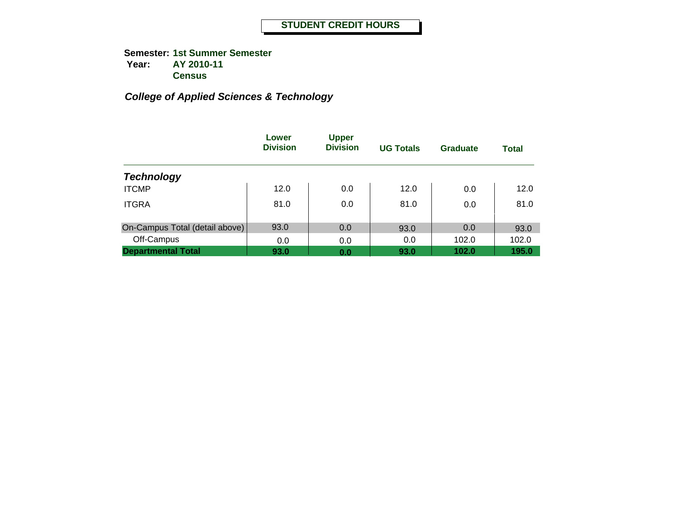**Semester: 1st Summer Semester Year: AY 2010-11 Census**

|                                | Lower<br><b>Division</b> | <b>Upper</b><br><b>Division</b> | <b>UG Totals</b> | Graduate | Total |
|--------------------------------|--------------------------|---------------------------------|------------------|----------|-------|
| <b>Technology</b>              |                          |                                 |                  |          |       |
| <b>ITCMP</b>                   | 12.0                     | 0.0                             | 12.0             | 0.0      | 12.0  |
| <b>ITGRA</b>                   | 81.0                     | 0.0                             | 81.0             | 0.0      | 81.0  |
| On-Campus Total (detail above) | 93.0                     | 0.0                             | 93.0             | 0.0      | 93.0  |
| Off-Campus                     | 0.0                      | 0.0                             | 0.0              | 102.0    | 102.0 |
| <b>Departmental Total</b>      | 93.0                     | 0.0                             | 93.0             | 102.0    | 195.0 |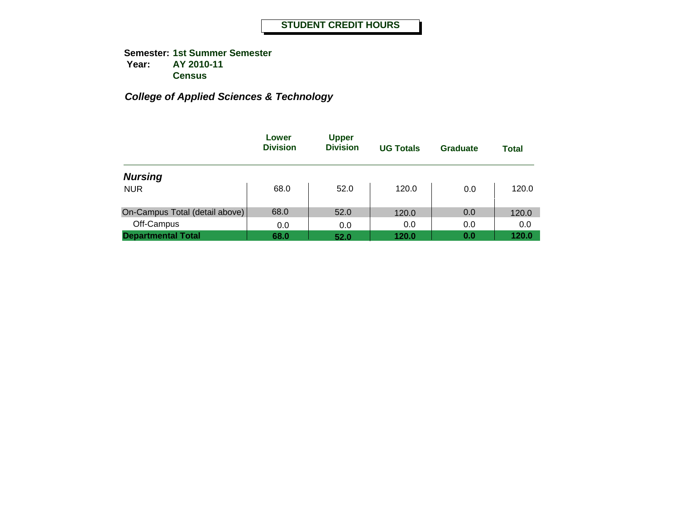**Semester: 1st Summer Semester Year: AY 2010-11 Census**

|                                | Lower<br><b>Division</b> | <b>Upper</b><br><b>Division</b> | <b>UG Totals</b> | Graduate | <b>Total</b> |
|--------------------------------|--------------------------|---------------------------------|------------------|----------|--------------|
| <b>Nursing</b>                 |                          |                                 |                  |          |              |
| <b>NUR</b>                     | 68.0                     | 52.0                            | 120.0            | 0.0      | 120.0        |
| On-Campus Total (detail above) | 68.0                     | 52.0                            | 120.0            | 0.0      | 120.0        |
| Off-Campus                     | 0.0                      | 0.0                             | 0.0              | 0.0      | 0.0          |
| <b>Departmental Total</b>      | 68.0                     | 52.0                            | 120.0            | 0.0      | 120.0        |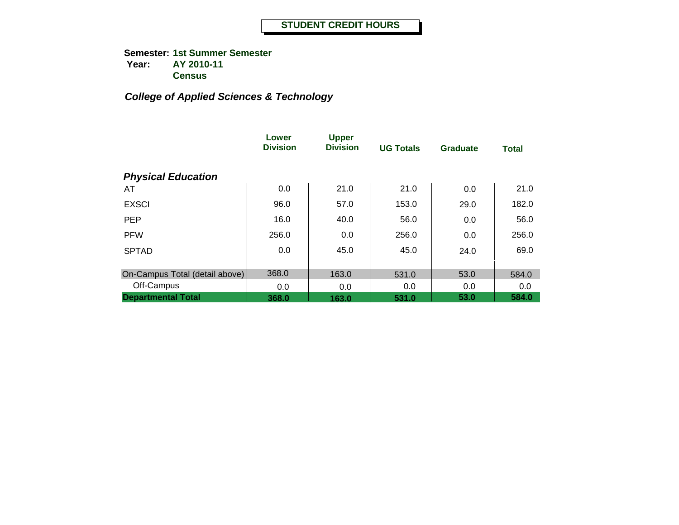**Semester: 1st Summer Semester Year: AY 2010-11 Census**

|                                | Lower<br><b>Division</b> | <b>Upper</b><br><b>Division</b> | <b>UG Totals</b> | <b>Graduate</b> | <b>Total</b> |
|--------------------------------|--------------------------|---------------------------------|------------------|-----------------|--------------|
| <b>Physical Education</b>      |                          |                                 |                  |                 |              |
| AT                             | 0.0                      | 21.0                            | 21.0             | 0.0             | 21.0         |
| <b>EXSCI</b>                   | 96.0                     | 57.0                            | 153.0            | 29.0            | 182.0        |
| <b>PEP</b>                     | 16.0                     | 40.0                            | 56.0             | 0.0             | 56.0         |
| <b>PFW</b>                     | 256.0                    | 0.0                             | 256.0            | 0.0             | 256.0        |
| <b>SPTAD</b>                   | 0.0                      | 45.0                            | 45.0             | 24.0            | 69.0         |
| On-Campus Total (detail above) | 368.0                    | 163.0                           | 531.0            | 53.0            | 584.0        |
| Off-Campus                     | 0.0                      | 0.0                             | 0.0              | 0.0             | 0.0          |
| <b>Departmental Total</b>      | 368.0                    | 163.0                           | 531.0            | 53.0            | 584.0        |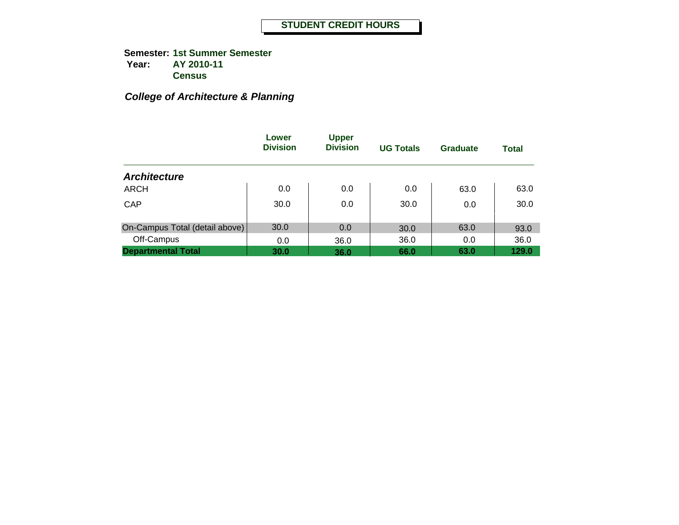**Semester: 1st Summer Semester Year: AY 2010-11 Census**

# *College of Architecture & Planning*

|                                | Lower<br><b>Division</b> | <b>Upper</b><br><b>Division</b> | <b>UG Totals</b> | Graduate | <b>Total</b> |
|--------------------------------|--------------------------|---------------------------------|------------------|----------|--------------|
| <b>Architecture</b>            |                          |                                 |                  |          |              |
| <b>ARCH</b>                    | 0.0                      | 0.0                             | 0.0              | 63.0     | 63.0         |
| CAP                            | 30.0                     | 0.0                             | 30.0             | 0.0      | 30.0         |
| On-Campus Total (detail above) | 30.0                     | 0.0                             | 30.0             | 63.0     | 93.0         |
| Off-Campus                     | 0.0                      | 36.0                            | 36.0             | 0.0      | 36.0         |
| <b>Departmental Total</b>      | 30.0                     | 36.0                            | 66.0             | 63.0     | 129.0        |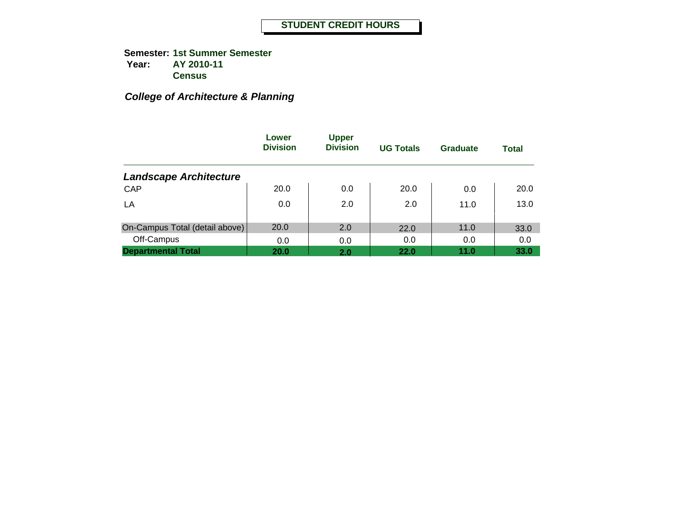**Semester: 1st Summer Semester Year: AY 2010-11 Census**

# *College of Architecture & Planning*

|                                | Lower<br><b>Division</b> | <b>Upper</b><br><b>Division</b> | <b>UG Totals</b> | <b>Graduate</b> | <b>Total</b> |
|--------------------------------|--------------------------|---------------------------------|------------------|-----------------|--------------|
| <b>Landscape Architecture</b>  |                          |                                 |                  |                 |              |
| CAP                            | 20.0                     | 0.0                             | 20.0             | 0.0             | 20.0         |
| LA                             | 0.0                      | 2.0                             | 2.0              | 11.0            | 13.0         |
| On-Campus Total (detail above) | 20.0                     | 2.0                             | 22.0             | 11.0            | 33.0         |
| Off-Campus                     | 0.0                      | 0.0                             | 0.0              | 0.0             | 0.0          |
| <b>Departmental Total</b>      | 20.0                     | 2.0                             | 22.0             | 11.0            | 33.0         |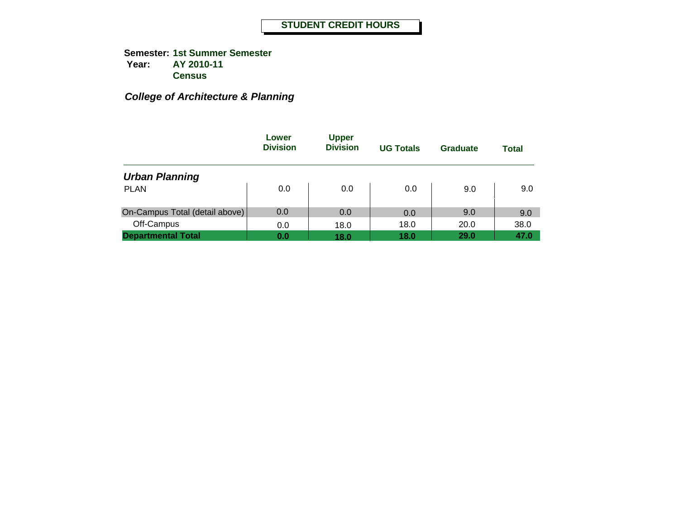**Semester: 1st Summer Semester Year: AY 2010-11 Census**

# *College of Architecture & Planning*

|                                | Lower<br><b>Division</b> | <b>Upper</b><br><b>Division</b> | <b>UG Totals</b> | Graduate | <b>Total</b> |
|--------------------------------|--------------------------|---------------------------------|------------------|----------|--------------|
| <b>Urban Planning</b>          |                          |                                 |                  |          |              |
| <b>PLAN</b>                    | 0.0                      | 0.0                             | 0.0              | 9.0      | 9.0          |
| On-Campus Total (detail above) | 0.0                      | 0.0                             | 0.0              | 9.0      | 9.0          |
| Off-Campus                     | 0.0                      | 18.0                            | 18.0             | 20.0     | 38.0         |
| <b>Departmental Total</b>      | 0.0                      | 18.0                            | 18.0             | 29.0     | 47.0         |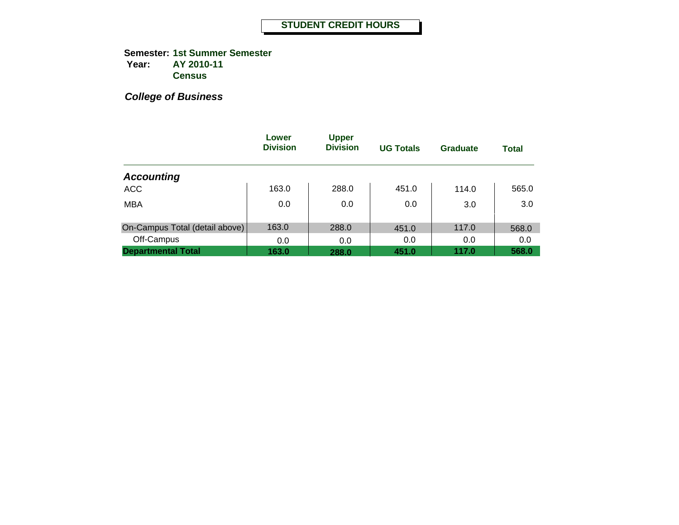**Semester: 1st Summer Semester Year: AY 2010-11 Census**

|                                | Lower<br><b>Division</b> | <b>Upper</b><br><b>Division</b> | <b>UG Totals</b> | <b>Graduate</b> | <b>Total</b> |
|--------------------------------|--------------------------|---------------------------------|------------------|-----------------|--------------|
| <b>Accounting</b>              |                          |                                 |                  |                 |              |
| <b>ACC</b>                     | 163.0                    | 288.0                           | 451.0            | 114.0           | 565.0        |
| <b>MBA</b>                     | 0.0                      | 0.0                             | 0.0              | 3.0             | 3.0          |
| On-Campus Total (detail above) | 163.0                    | 288.0                           | 451.0            | 117.0           | 568.0        |
| Off-Campus                     | 0.0                      | 0.0                             | 0.0              | 0.0             | 0.0          |
| <b>Departmental Total</b>      | 163.0                    | 288.0                           | 451.0            | 117.0           | 568.0        |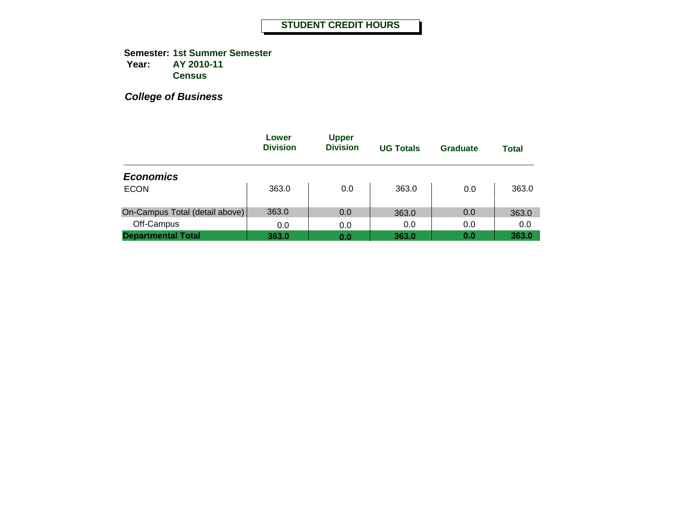**Semester: 1st Summer Semester Year: AY 2010-11 Census**

|                                | Lower<br><b>Division</b> | <b>Upper</b><br><b>Division</b> | <b>UG Totals</b> | <b>Graduate</b> | <b>Total</b> |
|--------------------------------|--------------------------|---------------------------------|------------------|-----------------|--------------|
| <b>Economics</b>               |                          |                                 |                  |                 |              |
| <b>ECON</b>                    | 363.0                    | 0.0                             | 363.0            | 0.0             | 363.0        |
| On-Campus Total (detail above) | 363.0                    | 0.0                             | 363.0            | 0.0             | 363.0        |
| Off-Campus                     | 0.0                      | 0.0                             | 0.0              | 0.0             | 0.0          |
| <b>Departmental Total</b>      | 363.0                    | 0.0                             | 363.0            | 0.0             | 363.0        |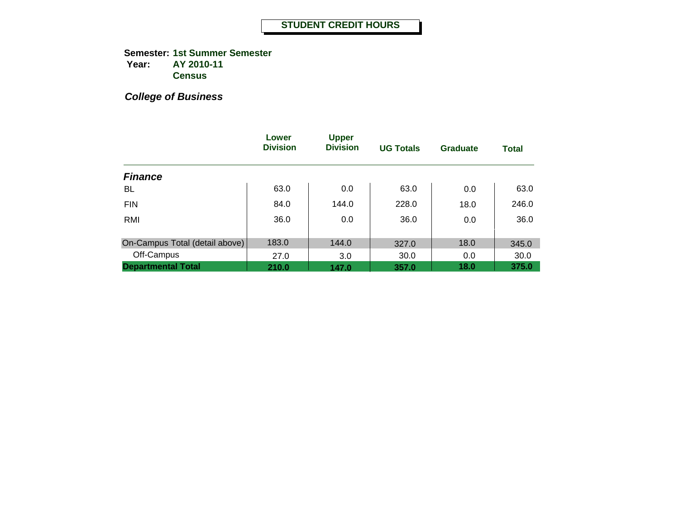**Semester: 1st Summer Semester Year: AY 2010-11 Census**

|                                | Lower<br><b>Division</b> | <b>Upper</b><br><b>Division</b> | <b>UG Totals</b> | <b>Graduate</b> | <b>Total</b> |
|--------------------------------|--------------------------|---------------------------------|------------------|-----------------|--------------|
| <b>Finance</b>                 |                          |                                 |                  |                 |              |
| BL.                            | 63.0                     | 0.0                             | 63.0             | 0.0             | 63.0         |
| <b>FIN</b>                     | 84.0                     | 144.0                           | 228.0            | 18.0            | 246.0        |
| RMI                            | 36.0                     | 0.0                             | 36.0             | 0.0             | 36.0         |
| On-Campus Total (detail above) | 183.0                    | 144.0                           | 327.0            | 18.0            | 345.0        |
| Off-Campus                     | 27.0                     | 3.0                             | 30.0             | 0.0             | 30.0         |
| <b>Departmental Total</b>      | 210.0                    | 147.0                           | 357.0            | 18.0            | 375.0        |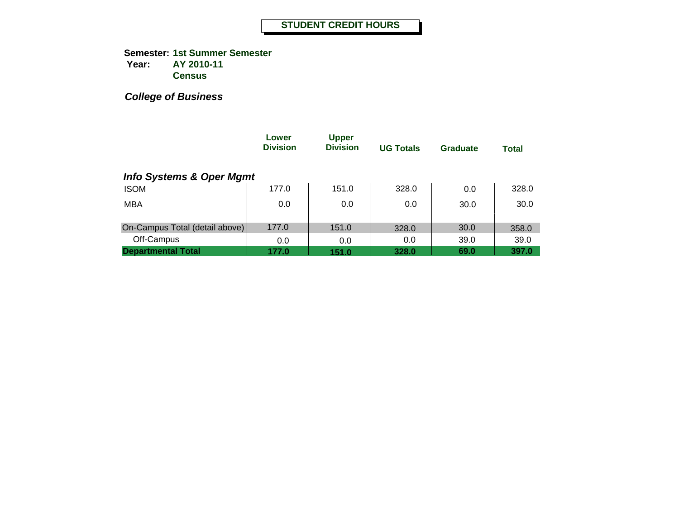**Semester: 1st Summer Semester Year: AY 2010-11 Census**

|                                     | Lower<br><b>Division</b> | <b>Upper</b><br><b>Division</b> | <b>UG Totals</b> | Graduate | <b>Total</b> |
|-------------------------------------|--------------------------|---------------------------------|------------------|----------|--------------|
| <b>Info Systems &amp; Oper Mgmt</b> |                          |                                 |                  |          |              |
| <b>ISOM</b>                         | 177.0                    | 151.0                           | 328.0            | 0.0      | 328.0        |
| <b>MBA</b>                          | 0.0                      | 0.0                             | 0.0              | 30.0     | 30.0         |
| On-Campus Total (detail above)      | 177.0                    | 151.0                           | 328.0            | 30.0     | 358.0        |
| Off-Campus                          | 0.0                      | 0.0                             | 0.0              | 39.0     | 39.0         |
| <b>Departmental Total</b>           | 177.0                    | 151.0                           | 328.0            | 69.0     | 397.0        |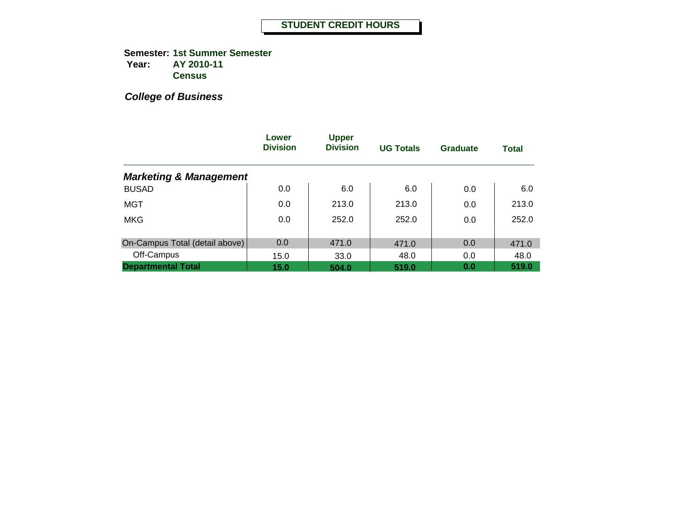**Semester: 1st Summer Semester Year: AY 2010-11 Census**

|                                   | Lower<br><b>Division</b> | <b>Upper</b><br><b>Division</b> | <b>UG Totals</b> | <b>Graduate</b> | <b>Total</b> |
|-----------------------------------|--------------------------|---------------------------------|------------------|-----------------|--------------|
| <b>Marketing &amp; Management</b> |                          |                                 |                  |                 |              |
| <b>BUSAD</b>                      | 0.0                      | 6.0                             | 6.0              | 0.0             | 6.0          |
| MGT                               | 0.0                      | 213.0                           | 213.0            | 0.0             | 213.0        |
| <b>MKG</b>                        | 0.0                      | 252.0                           | 252.0            | 0.0             | 252.0        |
| On-Campus Total (detail above)    | 0.0                      | 471.0                           | 471.0            | 0.0             | 471.0        |
| Off-Campus                        | 15.0                     | 33.0                            | 48.0             | 0.0             | 48.0         |
| <b>Departmental Total</b>         | 15.0                     | 504.0                           | 519.0            | 0.0             | 519.0        |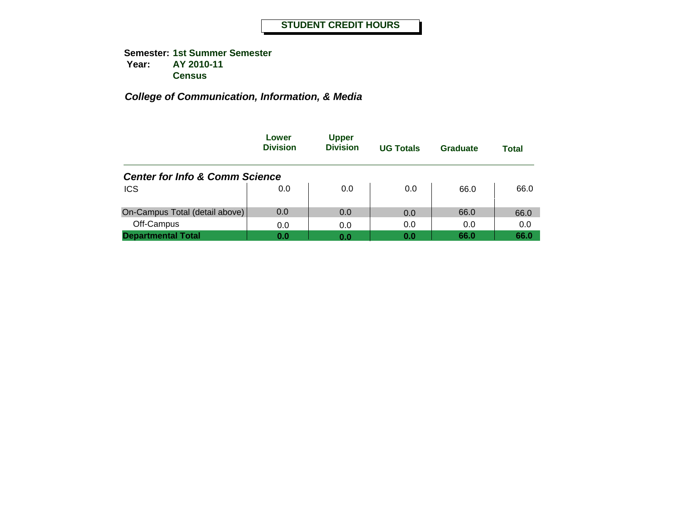**Semester: 1st Summer Semester Year: AY 2010-11 Census**

|                                           | Lower<br><b>Division</b> | <b>Upper</b><br><b>Division</b> | <b>UG Totals</b> | Graduate | Total |
|-------------------------------------------|--------------------------|---------------------------------|------------------|----------|-------|
| <b>Center for Info &amp; Comm Science</b> |                          |                                 |                  |          |       |
| <b>ICS</b>                                | 0.0                      | 0.0                             | 0.0              | 66.0     | 66.0  |
| On-Campus Total (detail above)            | 0.0                      | 0.0                             | 0.0              | 66.0     | 66.0  |
| Off-Campus                                | 0.0                      | 0.0                             | 0.0              | 0.0      | 0.0   |
| <b>Departmental Total</b>                 | 0.0                      | 0.0                             | 0.0              | 66.0     | 66.0  |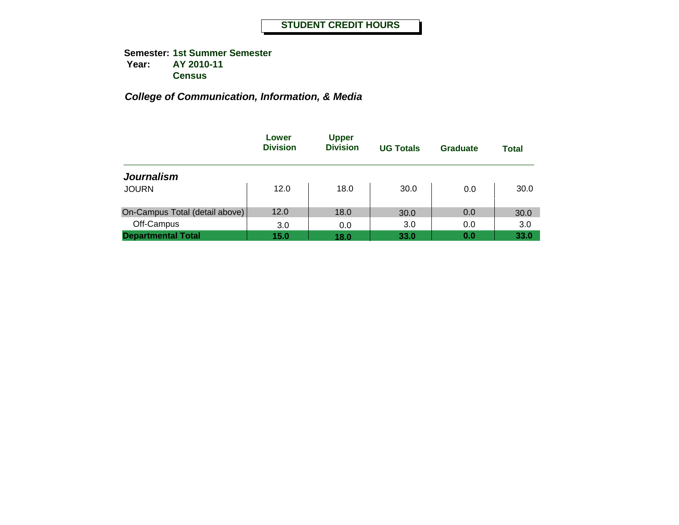**Semester: 1st Summer Semester Year: AY 2010-11 Census**

|                                | Lower<br><b>Division</b> | <b>Upper</b><br><b>Division</b> | <b>UG Totals</b> | <b>Graduate</b> | <b>Total</b> |
|--------------------------------|--------------------------|---------------------------------|------------------|-----------------|--------------|
| <b>Journalism</b>              |                          |                                 |                  |                 |              |
| <b>JOURN</b>                   | 12.0                     | 18.0                            | 30.0             | 0.0             | 30.0         |
| On-Campus Total (detail above) | 12.0                     | 18.0                            | 30.0             | 0.0             | 30.0         |
| Off-Campus                     | 3.0                      | 0.0                             | 3.0              | 0.0             | 3.0          |
| <b>Departmental Total</b>      | 15.0                     | 18.0                            | 33.0             | 0.0             | 33.0         |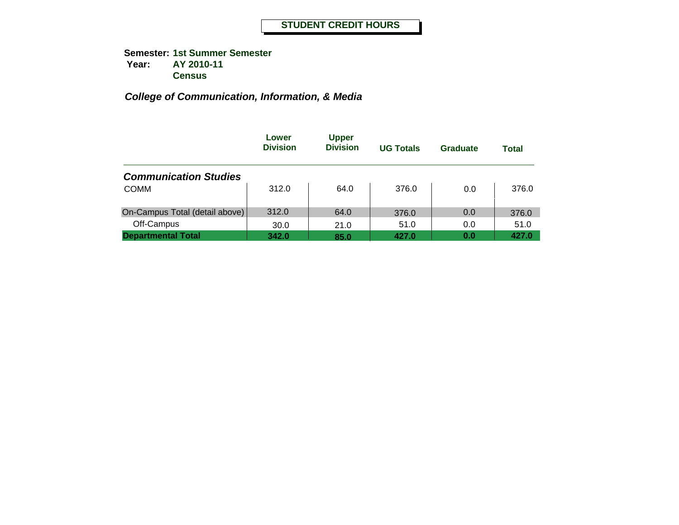**Semester: 1st Summer Semester Year: AY 2010-11 Census**

|                                | Lower<br><b>Division</b> | <b>Upper</b><br><b>Division</b> | <b>UG Totals</b> | Graduate | Total |
|--------------------------------|--------------------------|---------------------------------|------------------|----------|-------|
| <b>Communication Studies</b>   |                          |                                 |                  |          |       |
| <b>COMM</b>                    | 312.0                    | 64.0                            | 376.0            | 0.0      | 376.0 |
| On-Campus Total (detail above) | 312.0                    | 64.0                            | 376.0            | 0.0      | 376.0 |
| Off-Campus                     | 30.0                     | 21.0                            | 51.0             | 0.0      | 51.0  |
| <b>Departmental Total</b>      | 342.0                    | 85.0                            | 427.0            | 0.0      | 427.0 |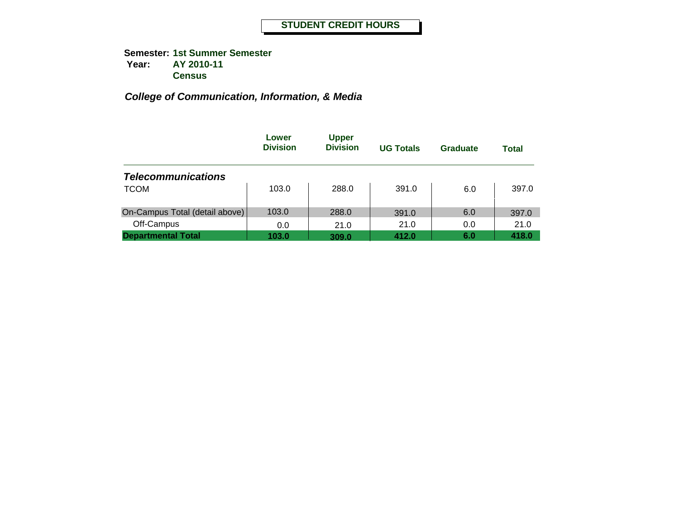**Semester: 1st Summer Semester Year: AY 2010-11 Census**

|                                | Lower<br><b>Division</b> | <b>Upper</b><br><b>Division</b> | <b>UG Totals</b> | Graduate | <b>Total</b> |
|--------------------------------|--------------------------|---------------------------------|------------------|----------|--------------|
| <b>Telecommunications</b>      |                          |                                 |                  |          |              |
| <b>TCOM</b>                    | 103.0                    | 288.0                           | 391.0            | 6.0      | 397.0        |
| On-Campus Total (detail above) | 103.0                    | 288.0                           | 391.0            | 6.0      | 397.0        |
| Off-Campus                     | 0.0                      | 21.0                            | 21.0             | 0.0      | 21.0         |
| <b>Departmental Total</b>      | 103.0                    | 309.0                           | 412.0            | 6.0      | 418.0        |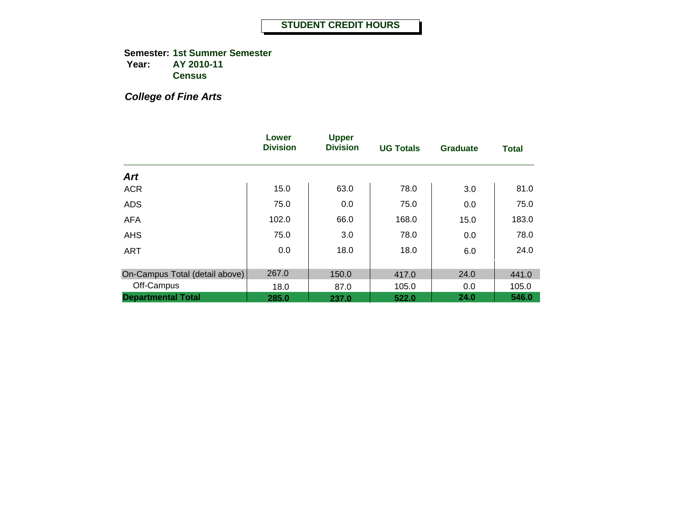**Semester: 1st Summer Semester Year: AY 2010-11 Census**

*College of Fine Arts*

|                                | Lower<br><b>Division</b> | <b>Upper</b><br><b>Division</b> | <b>UG Totals</b> | <b>Graduate</b> | <b>Total</b> |
|--------------------------------|--------------------------|---------------------------------|------------------|-----------------|--------------|
| <b>Art</b>                     |                          |                                 |                  |                 |              |
| <b>ACR</b>                     | 15.0                     | 63.0                            | 78.0             | 3.0             | 81.0         |
| <b>ADS</b>                     | 75.0                     | 0.0                             | 75.0             | 0.0             | 75.0         |
| <b>AFA</b>                     | 102.0                    | 66.0                            | 168.0            | 15.0            | 183.0        |
| <b>AHS</b>                     | 75.0                     | 3.0                             | 78.0             | 0.0             | 78.0         |
| <b>ART</b>                     | 0.0                      | 18.0                            | 18.0             | 6.0             | 24.0         |
| On-Campus Total (detail above) | 267.0                    | 150.0                           | 417.0            | 24.0            | 441.0        |
| Off-Campus                     | 18.0                     | 87.0                            | 105.0            | 0.0             | 105.0        |
| <b>Departmental Total</b>      | 285.0                    | 237.0                           | 522.0            | 24.0            | 546.0        |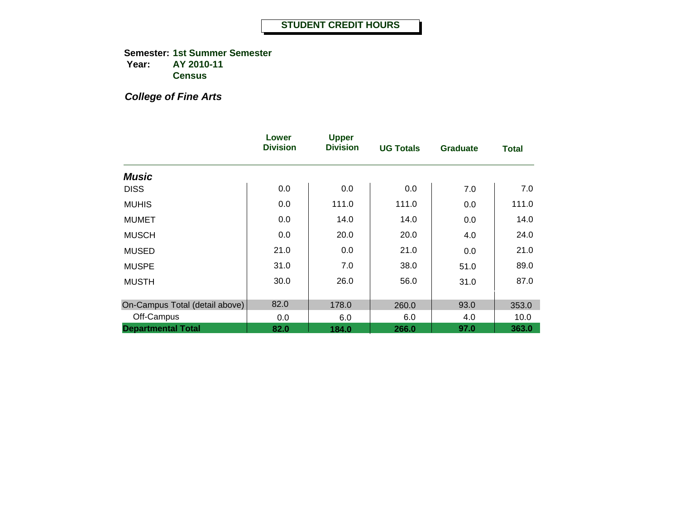**Semester: 1st Summer Semester Year: AY 2010-11 Census**

# *College of Fine Arts*

|                                | Lower<br><b>Division</b> | <b>Upper</b><br><b>Division</b> | <b>UG Totals</b> | <b>Graduate</b> | <b>Total</b> |
|--------------------------------|--------------------------|---------------------------------|------------------|-----------------|--------------|
| <b>Music</b>                   |                          |                                 |                  |                 |              |
| <b>DISS</b>                    | 0.0                      | 0.0                             | 0.0              | 7.0             | 7.0          |
| <b>MUHIS</b>                   | 0.0                      | 111.0                           | 111.0            | 0.0             | 111.0        |
| <b>MUMET</b>                   | 0.0                      | 14.0                            | 14.0             | 0.0             | 14.0         |
| <b>MUSCH</b>                   | 0.0                      | 20.0                            | 20.0             | 4.0             | 24.0         |
| <b>MUSED</b>                   | 21.0                     | 0.0                             | 21.0             | 0.0             | 21.0         |
| <b>MUSPE</b>                   | 31.0                     | 7.0                             | 38.0             | 51.0            | 89.0         |
| <b>MUSTH</b>                   | 30.0                     | 26.0                            | 56.0             | 31.0            | 87.0         |
| On-Campus Total (detail above) | 82.0                     | 178.0                           | 260.0            | 93.0            | 353.0        |
| Off-Campus                     | 0.0                      | 6.0                             | 6.0              | 4.0             | 10.0         |
| <b>Departmental Total</b>      | 82.0                     | 184.0                           | 266.0            | 97.0            | 363.0        |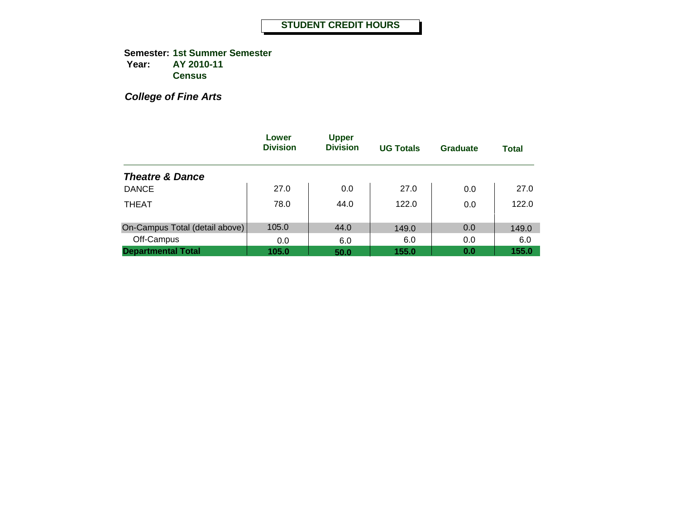**Semester: 1st Summer Semester Year: AY 2010-11 Census**

*College of Fine Arts*

|                                | Lower<br><b>Division</b> | <b>Upper</b><br><b>Division</b> | <b>UG Totals</b> | Graduate | <b>Total</b> |
|--------------------------------|--------------------------|---------------------------------|------------------|----------|--------------|
| <b>Theatre &amp; Dance</b>     |                          |                                 |                  |          |              |
| <b>DANCE</b>                   | 27.0                     | 0.0                             | 27.0             | 0.0      | 27.0         |
| <b>THEAT</b>                   | 78.0                     | 44.0                            | 122.0            | 0.0      | 122.0        |
| On-Campus Total (detail above) | 105.0                    | 44.0                            | 149.0            | 0.0      | 149.0        |
| Off-Campus                     | 0.0                      | 6.0                             | 6.0              | 0.0      | 6.0          |
| <b>Departmental Total</b>      | 105.0                    | 50.0                            | 155.0            | 0.0      | 155.0        |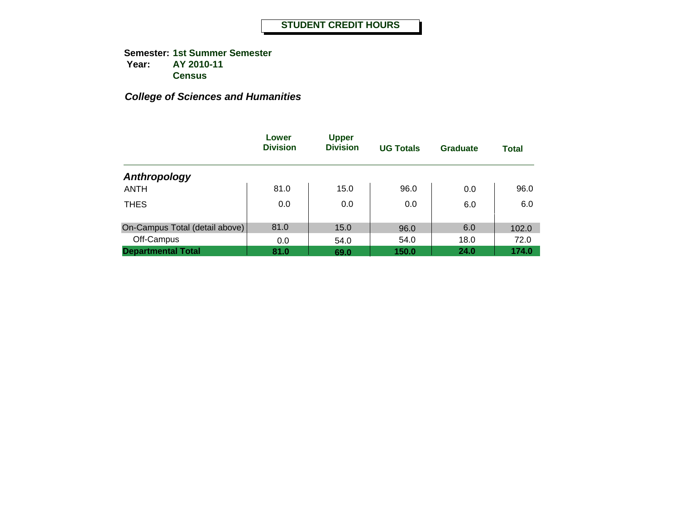**Semester: 1st Summer Semester Year: AY 2010-11 Census**

|                                | Lower<br><b>Division</b> | <b>Upper</b><br><b>Division</b> | <b>UG Totals</b> | <b>Graduate</b> | <b>Total</b> |
|--------------------------------|--------------------------|---------------------------------|------------------|-----------------|--------------|
| Anthropology                   |                          |                                 |                  |                 |              |
| <b>ANTH</b>                    | 81.0                     | 15.0                            | 96.0             | 0.0             | 96.0         |
| <b>THES</b>                    | 0.0                      | 0.0                             | 0.0              | 6.0             | 6.0          |
| On-Campus Total (detail above) | 81.0                     | 15.0                            | 96.0             | 6.0             | 102.0        |
| Off-Campus                     | 0.0                      | 54.0                            | 54.0             | 18.0            | 72.0         |
| <b>Departmental Total</b>      | 81.0                     | 69.0                            | 150.0            | 24.0            | 174.0        |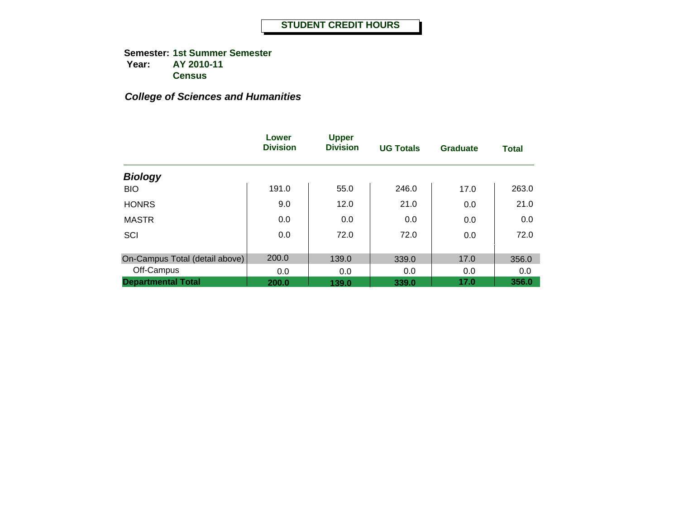**Semester: 1st Summer Semester Year: AY 2010-11 Census**

|                                | Lower<br><b>Division</b> | <b>Upper</b><br><b>Division</b> | <b>UG Totals</b> | <b>Graduate</b> | <b>Total</b> |
|--------------------------------|--------------------------|---------------------------------|------------------|-----------------|--------------|
| <b>Biology</b>                 |                          |                                 |                  |                 |              |
| <b>BIO</b>                     | 191.0                    | 55.0                            | 246.0            | 17.0            | 263.0        |
| <b>HONRS</b>                   | 9.0                      | 12.0                            | 21.0             | 0.0             | 21.0         |
| <b>MASTR</b>                   | 0.0                      | 0.0                             | 0.0              | 0.0             | 0.0          |
| SCI                            | 0.0                      | 72.0                            | 72.0             | 0.0             | 72.0         |
| On-Campus Total (detail above) | 200.0                    | 139.0                           | 339.0            | 17.0            | 356.0        |
| Off-Campus                     | 0.0                      | 0.0                             | 0.0              | 0.0             | 0.0          |
| <b>Departmental Total</b>      | 200.0                    | 139.0                           | 339.0            | 17.0            | 356.0        |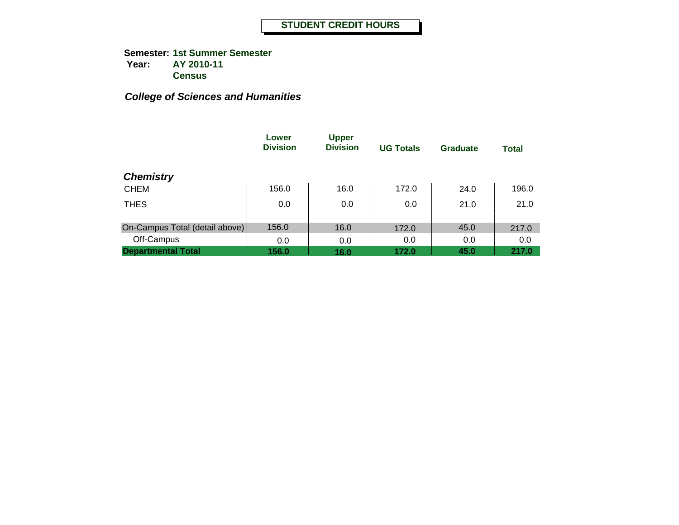**Semester: 1st Summer Semester Year: AY 2010-11 Census**

|                                | Lower<br><b>Division</b> | <b>Upper</b><br><b>Division</b> | <b>UG Totals</b> | Graduate | <b>Total</b> |
|--------------------------------|--------------------------|---------------------------------|------------------|----------|--------------|
| <b>Chemistry</b>               |                          |                                 |                  |          |              |
| <b>CHEM</b>                    | 156.0                    | 16.0                            | 172.0            | 24.0     | 196.0        |
| <b>THES</b>                    | 0.0                      | 0.0                             | 0.0              | 21.0     | 21.0         |
| On-Campus Total (detail above) | 156.0                    | 16.0                            | 172.0            | 45.0     | 217.0        |
| Off-Campus                     | 0.0                      | 0.0                             | 0.0              | 0.0      | 0.0          |
| <b>Departmental Total</b>      | 156.0                    | 16.0                            | 172.0            | 45.0     | 217.0        |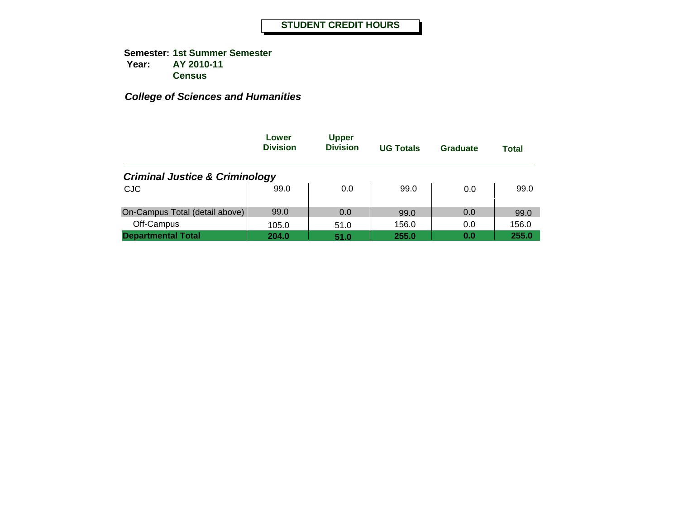**Semester: 1st Summer Semester Year: AY 2010-11 Census**

|                                           | Lower<br><b>Division</b> | <b>Upper</b><br><b>Division</b> | <b>UG Totals</b> | Graduate | <b>Total</b> |
|-------------------------------------------|--------------------------|---------------------------------|------------------|----------|--------------|
| <b>Criminal Justice &amp; Criminology</b> |                          |                                 |                  |          |              |
| <b>CJC</b>                                | 99.0                     | 0.0                             | 99.0             | 0.0      | 99.0         |
| On-Campus Total (detail above)            | 99.0                     | 0.0                             | 99.0             | 0.0      | 99.0         |
| Off-Campus                                | 105.0                    | 51.0                            | 156.0            | 0.0      | 156.0        |
| <b>Departmental Total</b>                 | 204.0                    | 51.0                            | 255.0            | 0.0      | 255.0        |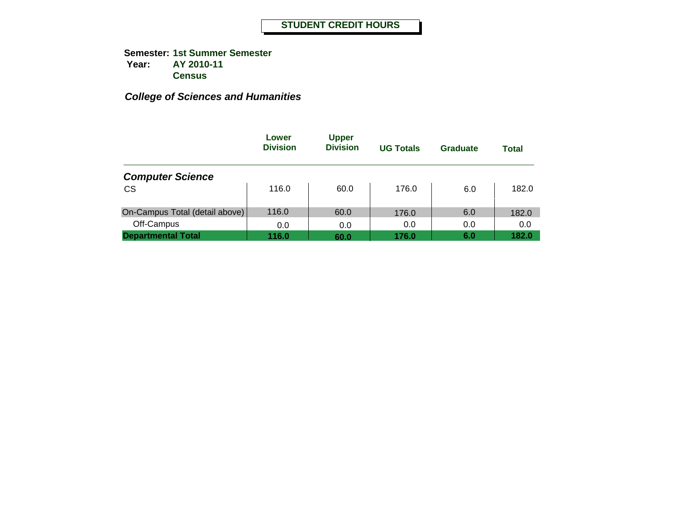**Semester: 1st Summer Semester Year: AY 2010-11 Census**

|                                | Lower<br><b>Division</b> | <b>Upper</b><br><b>Division</b> | <b>UG Totals</b> | Graduate | Total |
|--------------------------------|--------------------------|---------------------------------|------------------|----------|-------|
| <b>Computer Science</b>        |                          |                                 |                  |          |       |
| <b>CS</b>                      | 116.0                    | 60.0                            | 176.0            | 6.0      | 182.0 |
| On-Campus Total (detail above) | 116.0                    | 60.0                            | 176.0            | 6.0      | 182.0 |
| Off-Campus                     | 0.0                      | 0.0                             | 0.0              | 0.0      | 0.0   |
| <b>Departmental Total</b>      | 116.0                    | 60.0                            | 176.0            | 6.0      | 182.0 |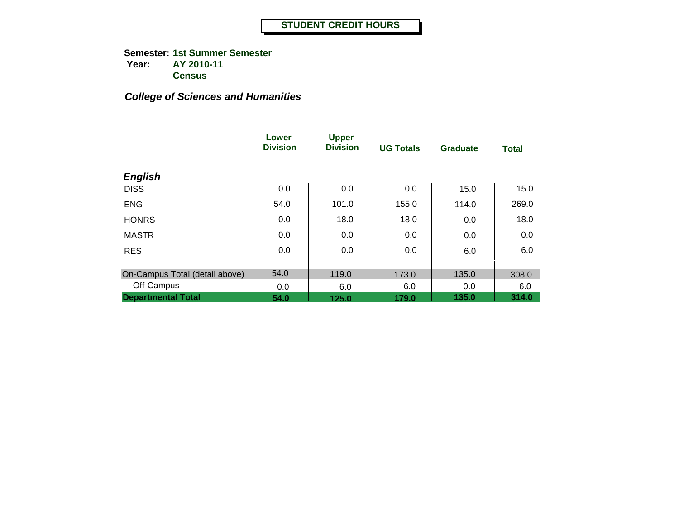**Semester: 1st Summer Semester Year: AY 2010-11 Census**

|                                | Lower<br><b>Division</b> | <b>Upper</b><br><b>Division</b> | <b>UG Totals</b> | <b>Graduate</b> | <b>Total</b> |
|--------------------------------|--------------------------|---------------------------------|------------------|-----------------|--------------|
| <b>English</b>                 |                          |                                 |                  |                 |              |
| <b>DISS</b>                    | 0.0                      | 0.0                             | 0.0              | 15.0            | 15.0         |
| <b>ENG</b>                     | 54.0                     | 101.0                           | 155.0            | 114.0           | 269.0        |
| <b>HONRS</b>                   | 0.0                      | 18.0                            | 18.0             | 0.0             | 18.0         |
| <b>MASTR</b>                   | 0.0                      | 0.0                             | 0.0              | 0.0             | 0.0          |
| <b>RES</b>                     | 0.0                      | 0.0                             | 0.0              | 6.0             | 6.0          |
| On-Campus Total (detail above) | 54.0                     | 119.0                           | 173.0            | 135.0           | 308.0        |
| Off-Campus                     | 0.0                      | 6.0                             | 6.0              | 0.0             | 6.0          |
| <b>Departmental Total</b>      | 54.0                     | 125.0                           | 179.0            | 135.0           | 314.0        |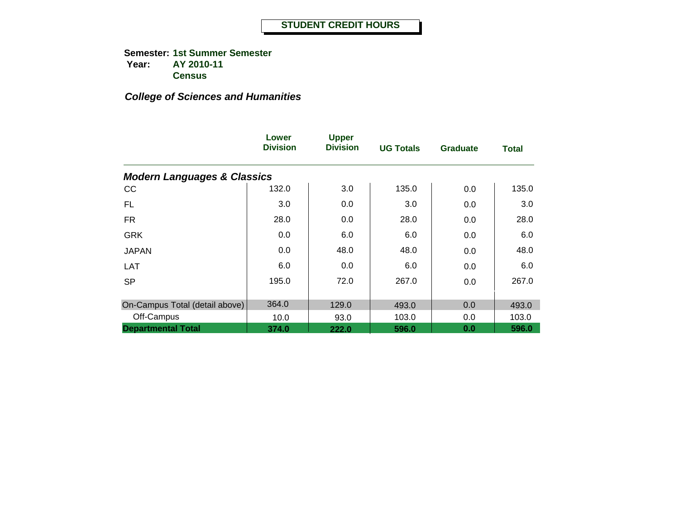**Semester: 1st Summer Semester Year: AY 2010-11 Census**

|                                        | Lower<br><b>Division</b> | <b>Upper</b><br><b>Division</b> | <b>UG Totals</b> | <b>Graduate</b> | <b>Total</b> |
|----------------------------------------|--------------------------|---------------------------------|------------------|-----------------|--------------|
| <b>Modern Languages &amp; Classics</b> |                          |                                 |                  |                 |              |
| CC                                     | 132.0                    | 3.0                             | 135.0            | 0.0             | 135.0        |
| FL                                     | 3.0                      | 0.0                             | 3.0              | 0.0             | 3.0          |
| <b>FR</b>                              | 28.0                     | 0.0                             | 28.0             | 0.0             | 28.0         |
| <b>GRK</b>                             | 0.0                      | 6.0                             | 6.0              | 0.0             | 6.0          |
| <b>JAPAN</b>                           | 0.0                      | 48.0                            | 48.0             | 0.0             | 48.0         |
| LAT                                    | 6.0                      | 0.0                             | 6.0              | 0.0             | 6.0          |
| <b>SP</b>                              | 195.0                    | 72.0                            | 267.0            | 0.0             | 267.0        |
| On-Campus Total (detail above)         | 364.0                    | 129.0                           | 493.0            | 0.0             | 493.0        |
| Off-Campus                             | 10.0                     | 93.0                            | 103.0            | 0.0             | 103.0        |
| <b>Departmental Total</b>              | 374.0                    | 222.0                           | 596.0            | 0.0             | 596.0        |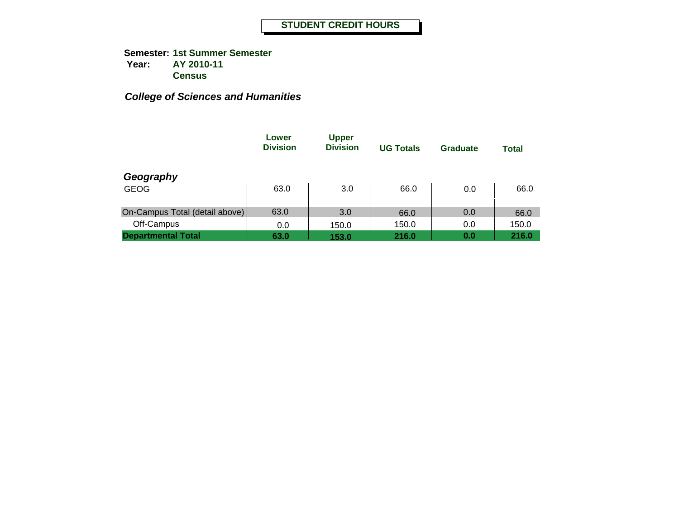**Semester: 1st Summer Semester Year: AY 2010-11 Census**

|                                | Lower<br><b>Division</b> | <b>Upper</b><br><b>Division</b> | <b>UG Totals</b> | Graduate | <b>Total</b> |
|--------------------------------|--------------------------|---------------------------------|------------------|----------|--------------|
| Geography                      |                          |                                 |                  |          |              |
| <b>GEOG</b>                    | 63.0                     | 3.0                             | 66.0             | 0.0      | 66.0         |
| On-Campus Total (detail above) | 63.0                     | 3.0                             | 66.0             | 0.0      | 66.0         |
| Off-Campus                     | 0.0                      | 150.0                           | 150.0            | 0.0      | 150.0        |
| <b>Departmental Total</b>      | 63.0                     | 153.0                           | 216.0            | 0.0      | 216.0        |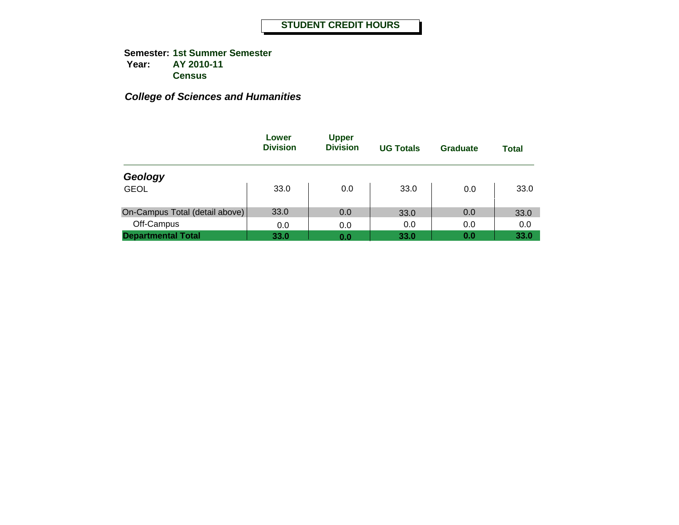**Semester: 1st Summer Semester Year: AY 2010-11 Census**

|                                | Lower<br><b>Division</b> | <b>Upper</b><br><b>Division</b> | <b>UG Totals</b> | Graduate | <b>Total</b> |
|--------------------------------|--------------------------|---------------------------------|------------------|----------|--------------|
| Geology                        |                          |                                 |                  |          |              |
| <b>GEOL</b>                    | 33.0                     | 0.0                             | 33.0             | 0.0      | 33.0         |
| On-Campus Total (detail above) | 33.0                     | 0.0                             | 33.0             | 0.0      | 33.0         |
| Off-Campus                     | 0.0                      | 0.0                             | 0.0              | 0.0      | 0.0          |
| <b>Departmental Total</b>      | 33.0                     | 0.0                             | 33.0             | 0.0      | 33.0         |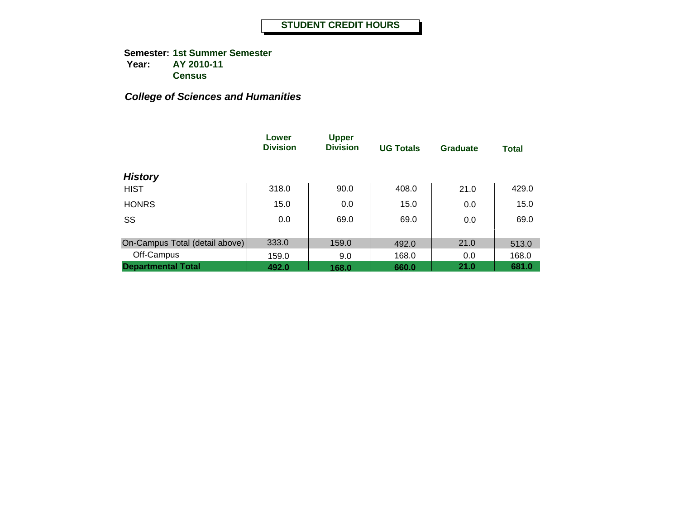**Semester: 1st Summer Semester Year: AY 2010-11 Census**

|                                | Lower<br><b>Division</b> | <b>Upper</b><br><b>Division</b> | <b>UG Totals</b> | <b>Graduate</b> | <b>Total</b> |
|--------------------------------|--------------------------|---------------------------------|------------------|-----------------|--------------|
| <b>History</b>                 |                          |                                 |                  |                 |              |
| <b>HIST</b>                    | 318.0                    | 90.0                            | 408.0            | 21.0            | 429.0        |
| <b>HONRS</b>                   | 15.0                     | 0.0                             | 15.0             | 0.0             | 15.0         |
| SS                             | 0.0                      | 69.0                            | 69.0             | 0.0             | 69.0         |
| On-Campus Total (detail above) | 333.0                    | 159.0                           | 492.0            | 21.0            | 513.0        |
| Off-Campus                     | 159.0                    | 9.0                             | 168.0            | 0.0             | 168.0        |
| <b>Departmental Total</b>      | 492.0                    | 168.0                           | 660.0            | 21.0            | 681.0        |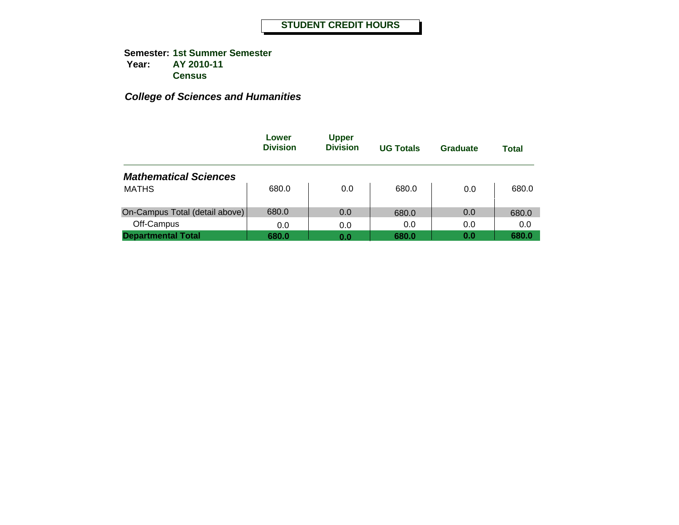**Semester: 1st Summer Semester Year: AY 2010-11 Census**

|                                | Lower<br><b>Division</b> | <b>Upper</b><br><b>Division</b> | <b>UG Totals</b> | Graduate | Total |
|--------------------------------|--------------------------|---------------------------------|------------------|----------|-------|
| <b>Mathematical Sciences</b>   |                          |                                 |                  |          |       |
| <b>MATHS</b>                   | 680.0                    | 0.0                             | 680.0            | 0.0      | 680.0 |
| On-Campus Total (detail above) | 680.0                    | 0.0                             | 680.0            | 0.0      | 680.0 |
| Off-Campus                     | 0.0                      | 0.0                             | 0.0              | 0.0      | 0.0   |
| <b>Departmental Total</b>      | 680.0                    | 0.0                             | 680.0            | 0.0      | 680.0 |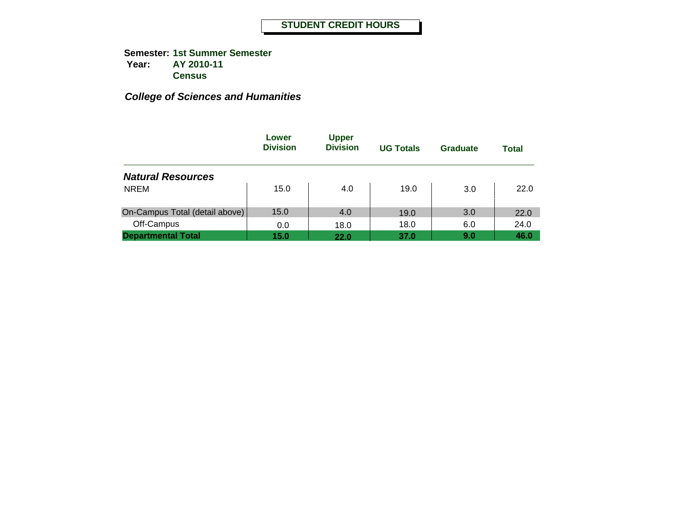**Semester: 1st Summer Semester Year: AY 2010-11 Census**

|                                | Lower<br><b>Division</b> | <b>Upper</b><br><b>Division</b> | <b>UG Totals</b> | Graduate | Total |
|--------------------------------|--------------------------|---------------------------------|------------------|----------|-------|
| <b>Natural Resources</b>       |                          |                                 |                  |          |       |
| <b>NREM</b>                    | 15.0                     | 4.0                             | 19.0             | 3.0      | 22.0  |
| On-Campus Total (detail above) | 15.0                     | 4.0                             | 19.0             | 3.0      | 22.0  |
| Off-Campus                     | 0.0                      | 18.0                            | 18.0             | 6.0      | 24.0  |
| <b>Departmental Total</b>      | 15.0                     | 22.0                            | 37.0             | 9.0      | 46.0  |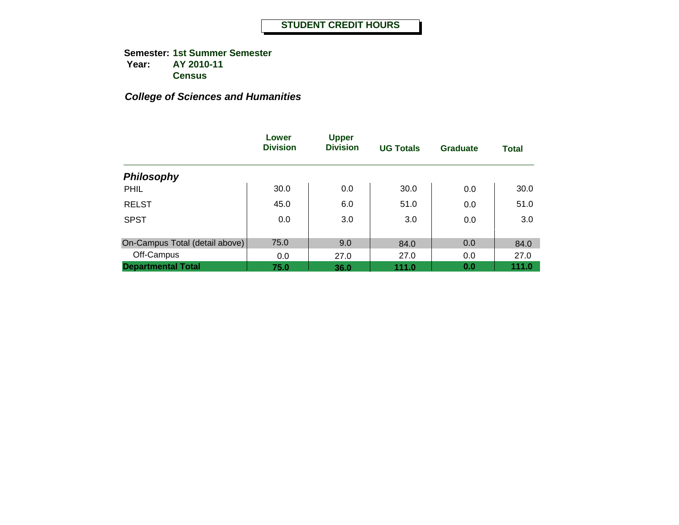**Semester: 1st Summer Semester Year: AY 2010-11 Census**

|                                | Lower<br><b>Division</b> | <b>Upper</b><br><b>Division</b> | <b>UG Totals</b> | <b>Graduate</b> | <b>Total</b> |
|--------------------------------|--------------------------|---------------------------------|------------------|-----------------|--------------|
| <b>Philosophy</b>              |                          |                                 |                  |                 |              |
| PHIL                           | 30.0                     | 0.0                             | 30.0             | 0.0             | 30.0         |
| <b>RELST</b>                   | 45.0                     | 6.0                             | 51.0             | 0.0             | 51.0         |
| <b>SPST</b>                    | 0.0                      | 3.0                             | 3.0              | 0.0             | 3.0          |
|                                | 75.0                     |                                 |                  |                 |              |
| On-Campus Total (detail above) |                          | 9.0                             | 84.0             | 0.0             | 84.0         |
| Off-Campus                     | 0.0                      | 27.0                            | 27.0             | 0.0             | 27.0         |
| <b>Departmental Total</b>      | 75.0                     | 36.0                            | 111.0            | 0.0             | 111.0        |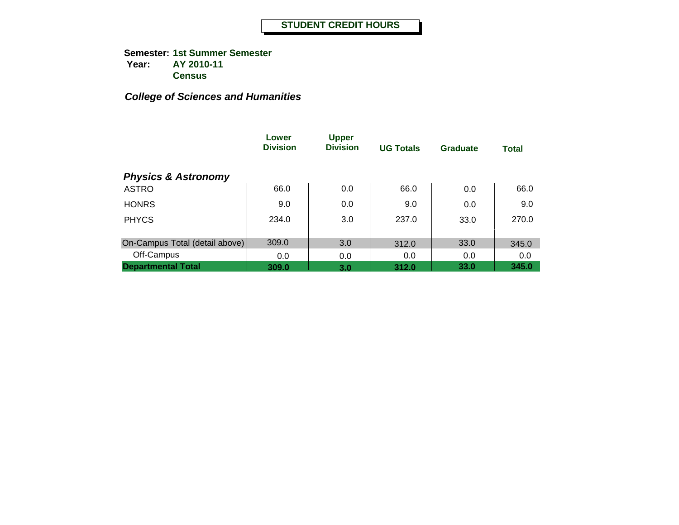**Semester: 1st Summer Semester Year: AY 2010-11 Census**

|                                | Lower<br><b>Division</b> | <b>Upper</b><br><b>Division</b> | <b>UG Totals</b> | <b>Graduate</b> | <b>Total</b> |
|--------------------------------|--------------------------|---------------------------------|------------------|-----------------|--------------|
| <b>Physics &amp; Astronomy</b> |                          |                                 |                  |                 |              |
| <b>ASTRO</b>                   | 66.0                     | 0.0                             | 66.0             | 0.0             | 66.0         |
| <b>HONRS</b>                   | 9.0                      | 0.0                             | 9.0              | 0.0             | 9.0          |
| <b>PHYCS</b>                   | 234.0                    | 3.0                             | 237.0            | 33.0            | 270.0        |
| On-Campus Total (detail above) | 309.0                    | 3.0                             | 312.0            | 33.0            | 345.0        |
| Off-Campus                     | 0.0                      | 0.0                             | 0.0              | 0.0             | 0.0          |
| <b>Departmental Total</b>      | 309.0                    | 3.0                             | 312.0            | 33.0            | 345.0        |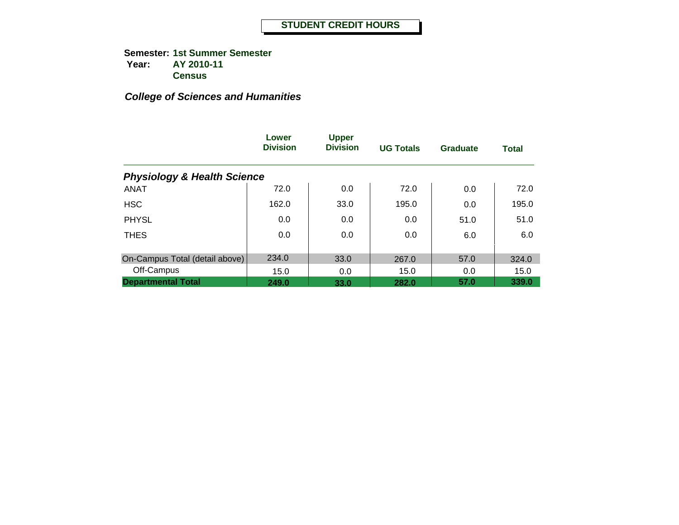**Semester: 1st Summer Semester Year: AY 2010-11 Census**

|                                        | Lower<br><b>Division</b> | <b>Upper</b><br><b>Division</b> | <b>UG Totals</b> | <b>Graduate</b> | <b>Total</b> |
|----------------------------------------|--------------------------|---------------------------------|------------------|-----------------|--------------|
| <b>Physiology &amp; Health Science</b> |                          |                                 |                  |                 |              |
| <b>ANAT</b>                            | 72.0                     | 0.0                             | 72.0             | 0.0             | 72.0         |
| <b>HSC</b>                             | 162.0                    | 33.0                            | 195.0            | 0.0             | 195.0        |
| <b>PHYSL</b>                           | 0.0                      | 0.0                             | 0.0              | 51.0            | 51.0         |
| <b>THES</b>                            | 0.0                      | 0.0                             | 0.0              | 6.0             | 6.0          |
| On-Campus Total (detail above)         | 234.0                    | 33.0                            | 267.0            | 57.0            | 324.0        |
| Off-Campus                             | 15.0                     | 0.0                             | 15.0             | 0.0             | 15.0         |
| <b>Departmental Total</b>              | 249.0                    | 33.0                            | 282.0            | 57.0            | 339.0        |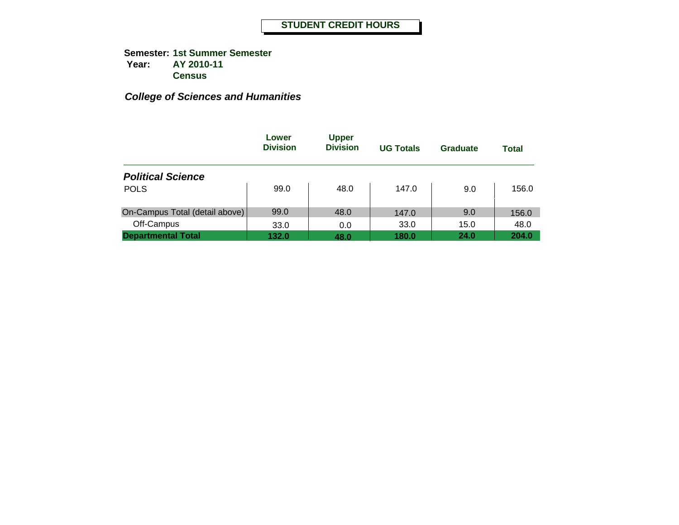**Semester: 1st Summer Semester Year: AY 2010-11 Census**

|                                | Lower<br><b>Division</b> | <b>Upper</b><br><b>Division</b> | <b>UG Totals</b> | Graduate | <b>Total</b> |
|--------------------------------|--------------------------|---------------------------------|------------------|----------|--------------|
| <b>Political Science</b>       |                          |                                 |                  |          |              |
| <b>POLS</b>                    | 99.0                     | 48.0                            | 147.0            | 9.0      | 156.0        |
| On-Campus Total (detail above) | 99.0                     | 48.0                            | 147.0            | 9.0      | 156.0        |
| Off-Campus                     | 33.0                     | 0.0                             | 33.0             | 15.0     | 48.0         |
| <b>Departmental Total</b>      | 132.0                    | 48.0                            | 180.0            | 24.0     | 204.0        |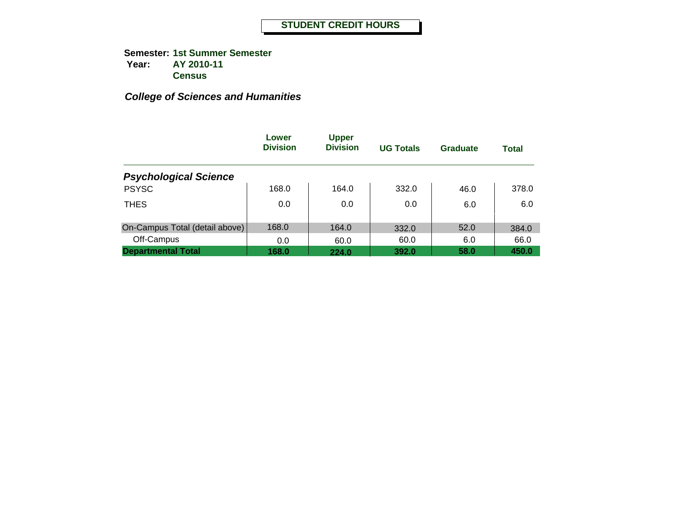**Semester: 1st Summer Semester Year: AY 2010-11 Census**

|                                | Lower<br><b>Division</b> | <b>Upper</b><br><b>Division</b> | <b>UG Totals</b> | <b>Graduate</b> | <b>Total</b> |
|--------------------------------|--------------------------|---------------------------------|------------------|-----------------|--------------|
| <b>Psychological Science</b>   |                          |                                 |                  |                 |              |
| <b>PSYSC</b>                   | 168.0                    | 164.0                           | 332.0            | 46.0            | 378.0        |
| <b>THES</b>                    | 0.0                      | 0.0                             | 0.0              | 6.0             | 6.0          |
| On-Campus Total (detail above) | 168.0                    | 164.0                           | 332.0            | 52.0            | 384.0        |
| Off-Campus                     | 0.0                      | 60.0                            | 60.0             | 6.0             | 66.0         |
| <b>Departmental Total</b>      | 168.0                    | 224.0                           | 392.0            | 58.0            | 450.0        |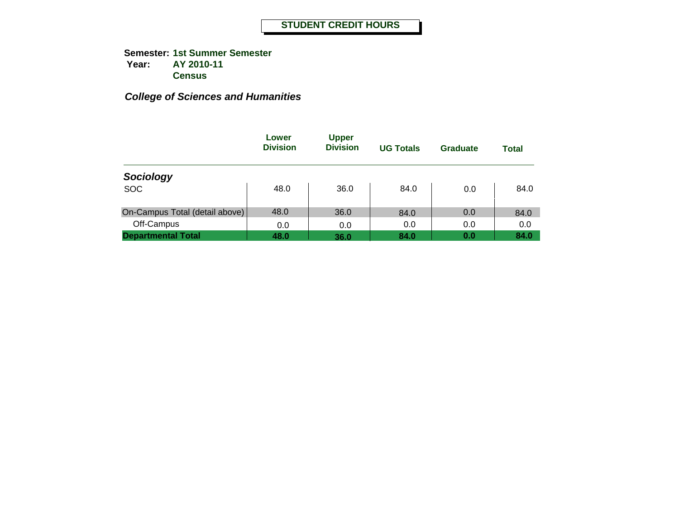**Semester: 1st Summer Semester Year: AY 2010-11 Census**

|                                | Lower<br><b>Division</b> | <b>Upper</b><br><b>Division</b> | <b>UG Totals</b> | Graduate | <b>Total</b> |
|--------------------------------|--------------------------|---------------------------------|------------------|----------|--------------|
| Sociology                      |                          |                                 |                  |          |              |
| <b>SOC</b>                     | 48.0                     | 36.0                            | 84.0             | 0.0      | 84.0         |
| On-Campus Total (detail above) | 48.0                     | 36.0                            | 84.0             | 0.0      | 84.0         |
| Off-Campus                     | 0.0                      | 0.0                             | 0.0              | 0.0      | 0.0          |
| <b>Departmental Total</b>      | 48.0                     | 36.0                            | 84.0             | 0.0      | 84.0         |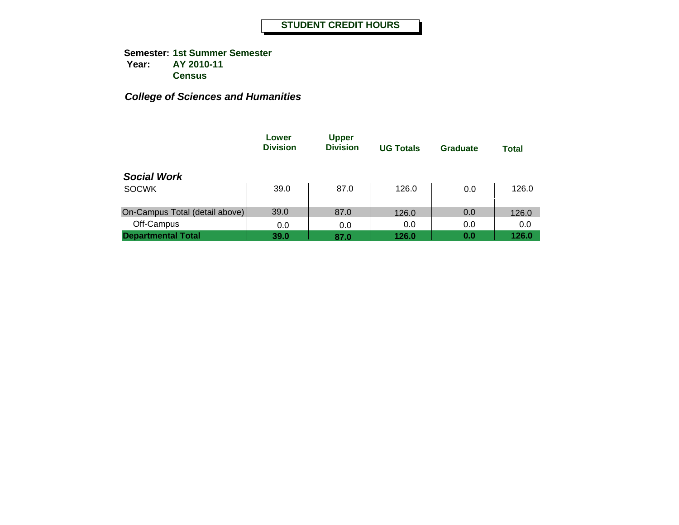**Semester: 1st Summer Semester Year: AY 2010-11 Census**

|                                | Lower<br><b>Division</b> | <b>Upper</b><br><b>Division</b> | <b>UG Totals</b> | Graduate | <b>Total</b> |
|--------------------------------|--------------------------|---------------------------------|------------------|----------|--------------|
| <b>Social Work</b>             |                          |                                 |                  |          |              |
| <b>SOCWK</b>                   | 39.0                     | 87.0                            | 126.0            | 0.0      | 126.0        |
| On-Campus Total (detail above) | 39.0                     | 87.0                            | 126.0            | 0.0      | 126.0        |
| Off-Campus                     | 0.0                      | 0.0                             | 0.0              | 0.0      | 0.0          |
| <b>Departmental Total</b>      | 39.0                     | 87.0                            | 126.0            | 0.0      | 126.0        |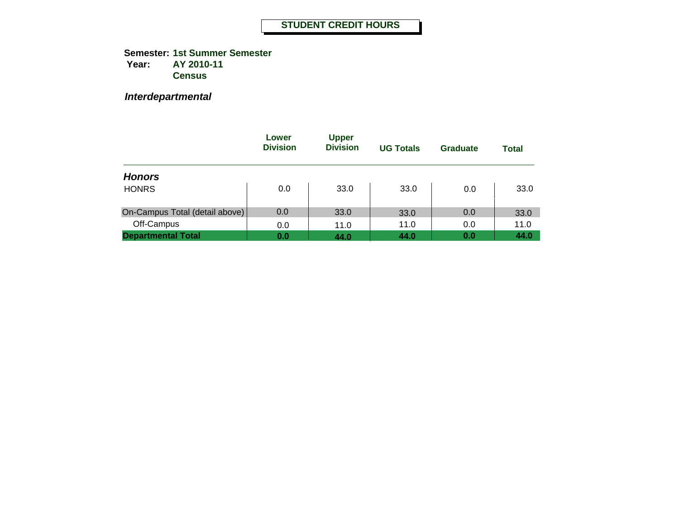**Semester: 1st Summer Semester Year: AY 2010-11 Census**

*Interdepartmental*

|                                | Lower<br><b>Division</b> | <b>Upper</b><br><b>Division</b> | <b>UG Totals</b> | <b>Graduate</b> | <b>Total</b> |
|--------------------------------|--------------------------|---------------------------------|------------------|-----------------|--------------|
| <b>Honors</b>                  |                          |                                 |                  |                 |              |
| <b>HONRS</b>                   | 0.0                      | 33.0                            | 33.0             | 0.0             | 33.0         |
| On-Campus Total (detail above) | 0.0                      | 33.0                            | 33.0             | 0.0             | 33.0         |
| Off-Campus                     | 0.0                      | 11.0                            | 11.0             | 0.0             | 11.0         |
| <b>Departmental Total</b>      | 0.0                      | 44.0                            | 44.0             | 0.0             | 44.0         |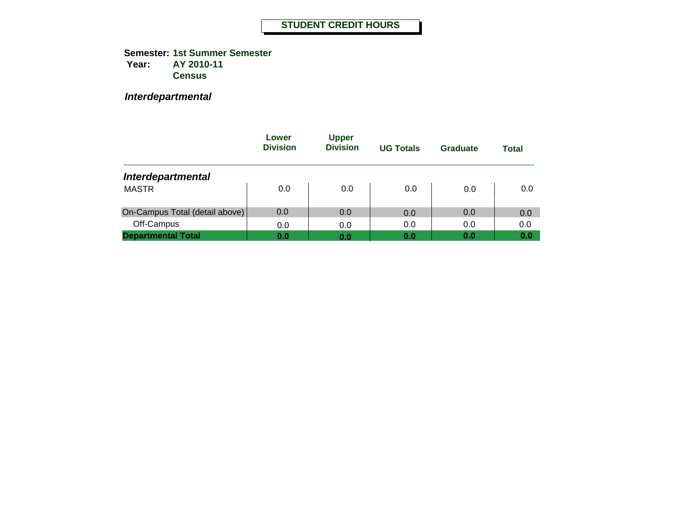**Semester: 1st Summer Semester Year: AY 2010-11 Census**

*Interdepartmental*

|                                | Lower<br><b>Division</b> | <b>Upper</b><br><b>Division</b> | <b>UG Totals</b> | Graduate | <b>Total</b> |
|--------------------------------|--------------------------|---------------------------------|------------------|----------|--------------|
| <b>Interdepartmental</b>       |                          |                                 |                  |          |              |
| <b>MASTR</b>                   | 0.0                      | 0.0                             | 0.0              | 0.0      | 0.0          |
| On-Campus Total (detail above) | 0.0                      | 0.0                             | 0.0              | 0.0      | 0.0          |
| Off-Campus                     | 0.0                      | 0.0                             | 0.0              | 0.0      | 0.0          |
| <b>Departmental Total</b>      | 0.0                      | 0.0                             | 0.0              | 0.0      | 0.0          |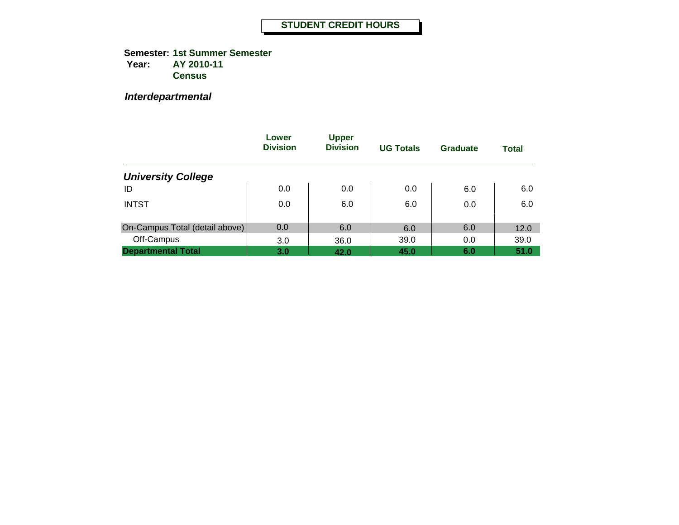**Semester: 1st Summer Semester Year: AY 2010-11 Census**

*Interdepartmental*

|                                | Lower<br><b>Division</b> | <b>Upper</b><br><b>Division</b> | <b>UG Totals</b> | Graduate | <b>Total</b> |
|--------------------------------|--------------------------|---------------------------------|------------------|----------|--------------|
| <b>University College</b>      |                          |                                 |                  |          |              |
| ID                             | 0.0                      | 0.0                             | 0.0              | 6.0      | 6.0          |
| <b>INTST</b>                   | 0.0                      | 6.0                             | 6.0              | 0.0      | 6.0          |
| On-Campus Total (detail above) | 0.0                      | 6.0                             | 6.0              | 6.0      | 12.0         |
| Off-Campus                     | 3.0                      | 36.0                            | 39.0             | 0.0      | 39.0         |
| <b>Departmental Total</b>      | 3.0                      | 42.0                            | 45.0             | 6.0      | 51.0         |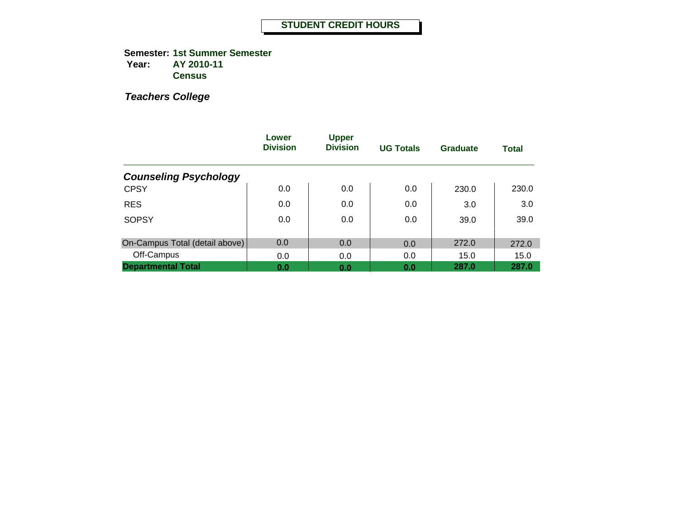**Semester: 1st Summer Semester Year: AY 2010-11 Census**

|                                | Lower<br><b>Division</b> | <b>Upper</b><br><b>Division</b> | <b>UG Totals</b> | <b>Graduate</b> | <b>Total</b> |
|--------------------------------|--------------------------|---------------------------------|------------------|-----------------|--------------|
| <b>Counseling Psychology</b>   |                          |                                 |                  |                 |              |
| <b>CPSY</b>                    | 0.0                      | 0.0                             | 0.0              | 230.0           | 230.0        |
| <b>RES</b>                     | 0.0                      | 0.0                             | 0.0              | 3.0             | 3.0          |
| <b>SOPSY</b>                   | 0.0                      | 0.0                             | 0.0              | 39.0            | 39.0         |
| On-Campus Total (detail above) | 0.0                      | 0.0                             | 0.0              | 272.0           | 272.0        |
| Off-Campus                     | 0.0                      | 0.0                             | 0.0              | 15.0            | 15.0         |
| <b>Departmental Total</b>      | 0.0                      | 0.0                             | 0.0              | 287.0           | 287.0        |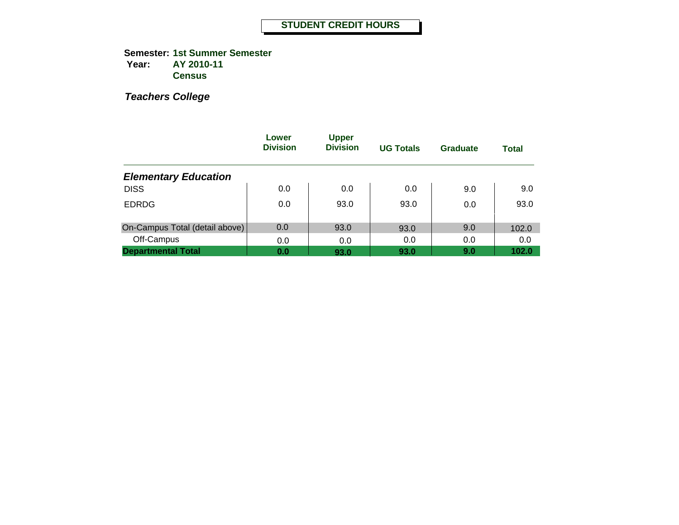**Semester: 1st Summer Semester Year: AY 2010-11 Census**

|                                | Lower<br><b>Division</b> | <b>Upper</b><br><b>Division</b> | <b>UG Totals</b> | Graduate | <b>Total</b> |
|--------------------------------|--------------------------|---------------------------------|------------------|----------|--------------|
| <b>Elementary Education</b>    |                          |                                 |                  |          |              |
| <b>DISS</b>                    | 0.0                      | 0.0                             | 0.0              | 9.0      | 9.0          |
| <b>EDRDG</b>                   | 0.0                      | 93.0                            | 93.0             | 0.0      | 93.0         |
| On-Campus Total (detail above) | 0.0                      | 93.0                            | 93.0             | 9.0      | 102.0        |
| Off-Campus                     | 0.0                      | 0.0                             | 0.0              | 0.0      | 0.0          |
| <b>Departmental Total</b>      | 0.0                      | 93.0                            | 93.0             | 9.0      | 102.0        |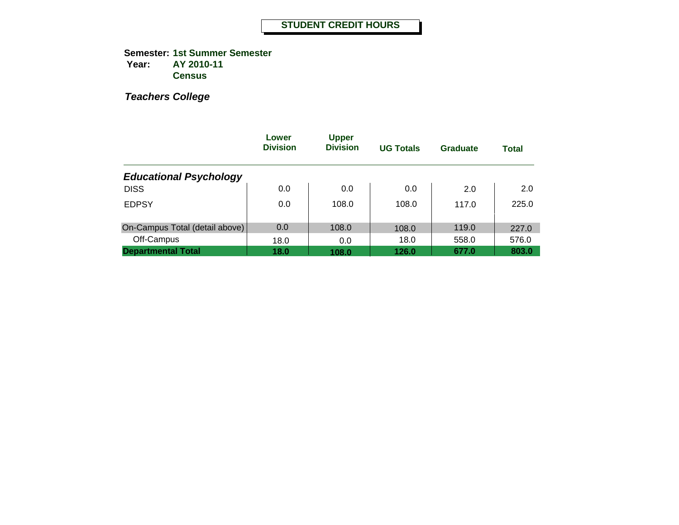**Semester: 1st Summer Semester Year: AY 2010-11 Census**

|                                | Lower<br><b>Division</b> | <b>Upper</b><br><b>Division</b> | <b>UG Totals</b> | <b>Graduate</b> | <b>Total</b> |
|--------------------------------|--------------------------|---------------------------------|------------------|-----------------|--------------|
| <b>Educational Psychology</b>  |                          |                                 |                  |                 |              |
| <b>DISS</b>                    | 0.0                      | 0.0                             | 0.0              | 2.0             | 2.0          |
| <b>EDPSY</b>                   | 0.0                      | 108.0                           | 108.0            | 117.0           | 225.0        |
| On-Campus Total (detail above) | 0.0                      | 108.0                           | 108.0            | 119.0           | 227.0        |
| Off-Campus                     | 18.0                     | 0.0                             | 18.0             | 558.0           | 576.0        |
| <b>Departmental Total</b>      | 18.0                     | 108.0                           | 126.0            | 677.0           | 803.0        |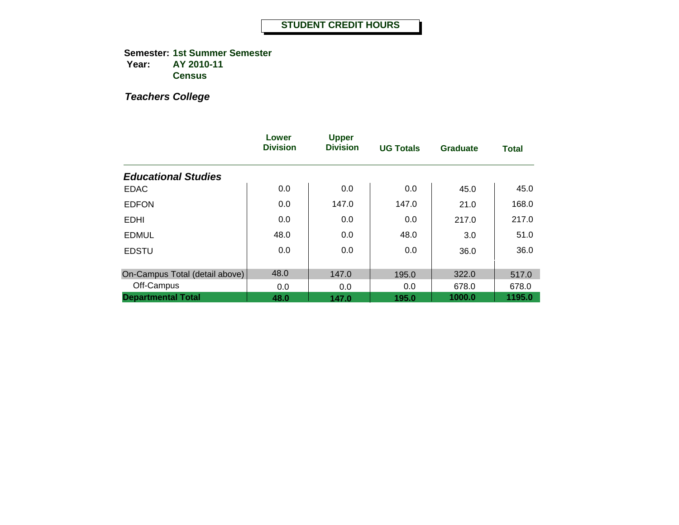**Semester: 1st Summer Semester Year: AY 2010-11 Census**

|                                | Lower<br><b>Division</b> | <b>Upper</b><br><b>Division</b> | <b>UG Totals</b> | <b>Graduate</b> | <b>Total</b> |
|--------------------------------|--------------------------|---------------------------------|------------------|-----------------|--------------|
| <b>Educational Studies</b>     |                          |                                 |                  |                 |              |
| <b>EDAC</b>                    | 0.0                      | 0.0                             | 0.0              | 45.0            | 45.0         |
| <b>EDFON</b>                   | 0.0                      | 147.0                           | 147.0            | 21.0            | 168.0        |
| <b>EDHI</b>                    | 0.0                      | 0.0                             | 0.0              | 217.0           | 217.0        |
| <b>EDMUL</b>                   | 48.0                     | 0.0                             | 48.0             | 3.0             | 51.0         |
| <b>EDSTU</b>                   | 0.0                      | 0.0                             | 0.0              | 36.0            | 36.0         |
| On-Campus Total (detail above) | 48.0                     | 147.0                           | 195.0            | 322.0           | 517.0        |
| Off-Campus                     | 0.0                      | 0.0                             | 0.0              | 678.0           | 678.0        |
| <b>Departmental Total</b>      | 48.0                     | 147.0                           | 195.0            | 1000.0          | 1195.0       |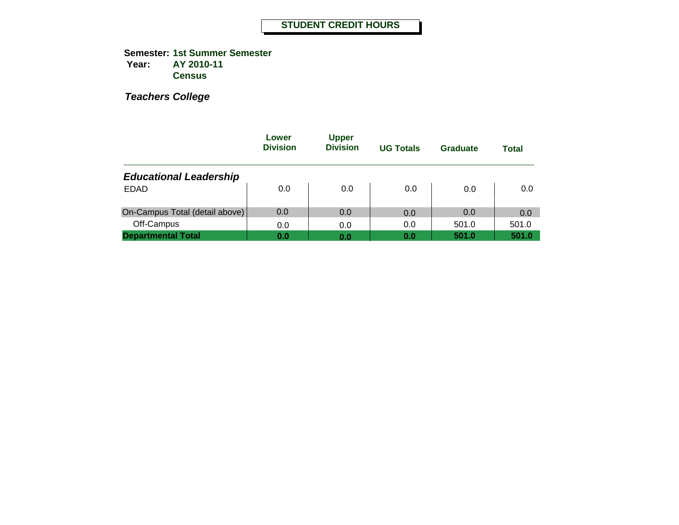**Semester: 1st Summer Semester Year: AY 2010-11 Census**

|                                | Lower<br><b>Division</b> | <b>Upper</b><br><b>Division</b> | <b>UG Totals</b> | Graduate | <b>Total</b> |
|--------------------------------|--------------------------|---------------------------------|------------------|----------|--------------|
| <b>Educational Leadership</b>  |                          |                                 |                  |          |              |
| <b>EDAD</b>                    | 0.0                      | 0.0                             | 0.0              | 0.0      | 0.0          |
| On-Campus Total (detail above) | 0.0                      | 0.0                             | 0.0              | 0.0      | 0.0          |
| Off-Campus                     | 0.0                      | 0.0                             | 0.0              | 501.0    | 501.0        |
| <b>Departmental Total</b>      | 0.0                      | 0.0                             | 0.0              | 501.0    | 501.0        |